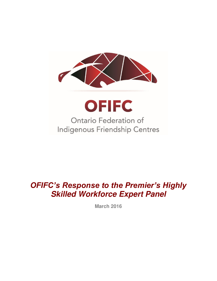

# *OFIFC's Response to the Premier's Highly*  **Skilled Workforce Expert Panel**

**March 2016**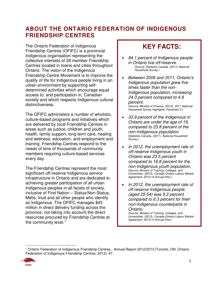## **ABOUT THE ONTARIO FEDERATION OF INDIGENOUS FRIENDSHIP CENTRES**

The Ontario Federation of Indigenous Friendship Centres (OFIFC) is a provincial Indigenous organisation representing the collective interests of 28 member Friendship Centres located in towns and cities throughout Ontario. The vision of the Indigenous Friendship Centre Movement is to improve the quality of life for Indigenous people living in an urban environment by supporting selfdetermined activities which encourage equal access to, and participation in, Canadian society and which respects Indigenous cultural distinctiveness.

The OFIFC administers a number of wholistic, culture-based programs and initiatives which are delivered by local Friendship Centres in areas such as justice, children and youth, health, family support, long term care, healing and wellness, education, and employment and training. Friendship Centres respond to the needs of tens of thousands of community members requiring culture-based services every day.

The Friendship Centres represent the most significant off-reserve Indigenous service infrastructure in Ontario and are dedicated to achieving greater participation of all urban Indigenous peoples in all facets of society, inclusive of First Nation – Status/Non-Status, Métis, Inuit and all other people who identify as Indigenous. The OFIFC manages \$45 million in direct delivery funding across the province, not taking into account the direct resources procured by Friendship Centres at the community level.<sup>1</sup>

# **KEY FACTS:**

- *84.1 percent of Indigenous people in Ontario live off-reserve.* (Source: Statistics Canada. (2011) *National Household Survey.)*
- *Between 2006 and 2011, Ontario's Indigenous population grew five times faster than the non-Indigenous population, increasing 24.3 percent compared to 4.8 percent.*  (Source: Ministry of Finance. (2013). *2011 National Household Survey Highlights: Factsheet 3.*)
- *33.9 percent of the Indigenous in Ontario are under the age of 19, compared to 23.8 percent of the non-Indigenous population.* (Statistics Canada. (2011). *National Household Survey.*)
- *In 2012, the unemployment rate of off-reserve Indigenous youth in Ontario was 23.5 percent compared to 16.8 percent for the non-Indigenous youth population.* (Source: Ministry of Training, Colleges, and Universities. (2013). *Canada-Ontario Labour Market Agreement, 2013-14 Annual Plan*.)
- *In 2012, the unemployment rate of off-reserve Indigenous people (aged 25-54) was 9.2 percent compared to 6.3 percent for their non-Indigenous counterparts in Ontario.*

(Source: Ministry of Training, Colleges, and Universities. (2013). *Canada-Ontario Labour Market Agreement, 2013-14 Annual Plan*.)

 $\overline{a}$ 1 Ontario Federation of Indigenous Friendship Centres., *Annual Report 2012/2013* (Toronto, ON: Ontario Federation of Indigenous Friendship Centres, 2013). 47.

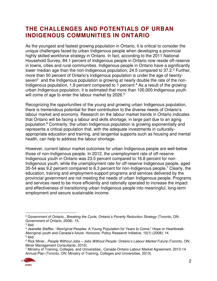### **THE CHALLENGES AND POTENTIALS OF URBAN INDIGENOUS COMMUNITIES IN ONTARIO**

As the youngest and fastest growing population in Ontario, it is critical to consider the unique challenges faced by urban Indigenous people when developing a provincial highly skilled workforce strategy in Ontario. In fact, according to the 2011 National Household Survey, 84.1 percent of Indigenous people in Ontario now reside off-reserve in towns, cities and rural communities. Indigenous people in Ontario have a significantly lower median age than the non-Indigenous population, 24.5 compared to 37.2.<sup>2</sup> Further, more than 50 percent of Ontario's Indigenous population is under the age of twentyseven $3$  and the Indigenous population is growing at nearly double the rate of the non-Indigenous population, 1.8 percent compared to 1 percent.<sup>4</sup> As a result of the growing urban Indigenous population, it is estimated that more than 100,000 Indigenous youth will come of age to enter the labour market by 2026.<sup>5</sup>

Recognizing the opportunities of the young and growing urban Indigenous population, there is tremendous potential for their contribution to the diverse needs of Ontario's labour market and economy. Research on the labour market trends in Ontario indicates that Ontario will be facing a labour and skills shortage, in large part due to an aging population.<sup>6</sup> Contrarily, the urban Indigenous population is growing exponentially and represents a critical population that, with the adequate investments in culturallyappropriate education and training, and tangential supports such as housing and mental health, can help to address the labour shortage.

However, current labour market outcomes for urban Indigenous people are well-below those of non-Indigenous people. In 2012, the unemployment rate of off-reserve Indigenous youth in Ontario was 23.5 percent compared to 16.8 percent for non-Indigenous youth, while the unemployment rate for off-reserve Indigenous people, aged 35-54 was 9.2 percent compared to 6.3 percent for non-Indigenous people.<sup>7</sup> Clearly, the education, training and employment-support programs and services delivered by the provincial government are not meeting the needs of urban Indigenous people. Programs and services need to be more efficiently and rationally operated to increase the impact and effectiveness of transitioning urban Indigenous people into meaningful, long-term employment and secure sustainable income.

<sup>7</sup> Ministry of Training, Colleges, and Universities., Canada-Ontario Labour Market Agreement, 2013-14 Annual Plan (Toronto, ON: Ministry of Training, Colleges and Universities, 2013).



 $\overline{a}$ 2 Government of Ontario., *Breaking the Cycle, Ontario's Poverty Reduction Strategy* (Toronto, ON: Government of Ontario, 2008). 15.

<sup>&</sup>lt;sup>3</sup> Ibid.

<sup>4</sup> Jeanette Steffler, "Aboriginal Peoples: A Young Population for Years to Come," Hope or Heartbreak: Aboriginal youth and Canada's future. Horizons: Policy Research Initiative, 10(1) (2008): 14. 5 Ibid.

<sup>6</sup> Rick Miner., *People Without Jobs – Jobs Without People: Ontario's Labour Market Future* (Toronto, ON: Miner Management Consultants, 2010).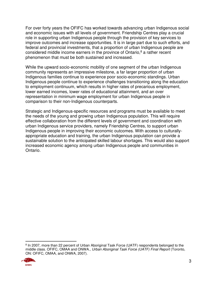For over forty years the OFIFC has worked towards advancing urban Indigenous social and economic issues with all levels of government. Friendship Centres play a crucial role in supporting urban Indigenous people through the provision of key services to improve outcomes and increase opportunities. It is in large part due to such efforts, and federal and provincial investments, that a proportion of urban Indigenous people are considered middle income earners in the province of Ontario,<sup>8</sup> a rather recent phenomenon that must be both sustained and increased.

While the upward socio-economic mobility of one segment of the urban Indigenous community represents an impressive milestone, a far larger proportion of urban Indigenous families continue to experience poor socio-economic standings. Urban Indigenous people continue to experience challenges transitioning along the education to employment continuum, which results in higher rates of precarious employment, lower earned incomes, lower rates of educational attainment, and an over representation in minimum wage employment for urban Indigenous people in comparison to their non-Indigenous counterparts.

Strategic and Indigenous-specific resources and programs must be available to meet the needs of the young and growing urban Indigenous population. This will require effective collaboration from the different levels of government and coordination with urban Indigenous service providers, namely Friendship Centres, to support urban Indigenous people in improving their economic outcomes. With access to culturallyappropriate education and training, the urban Indigenous population can provide a sustainable solution to the anticipated skilled labour shortages. This would also support increased economic agency among urban Indigenous people and communities in Ontario.

 $\overline{a}$ <sup>8</sup> In 2007, more than 22 percent of Urban Aboriginal Task Force (UATF) respondents belonged to the middle class. OFIFC, OMAA and ONWA., *Urban Aboriginal Task Force (UATF) Final Report* (Toronto, ON: OFIFC, OMAA, and ONWA, 2007).

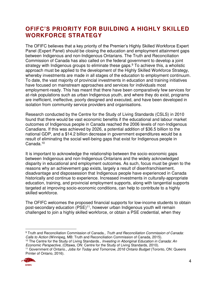## **OFIFC'S PRIORITY FOR BUILDING A HIGHLY SKILLED WORKFORCE STRATEGY**

The OFIFC believes that a key priority of the Premier's Highly Skilled Workforce Expert Panel (Expert Panel) should be closing the education and employment attainment gaps between Indigenous and non-Indigenous Ontarians. The Truth and Reconciliation Commission of Canada has also called on the federal government to develop a joint strategy with Indigenous groups to eliminate these gaps.<sup>9</sup> To achieve this, a wholistic approach must be applied to the development of the Highly Skilled Workforce Strategy, whereby investments are made in all stages of the education to employment continuum. To date, the vast majority of provincial investments in education and training initiatives have focused on mainstream approaches and services for individuals most employment-ready. This has meant that there have been comparatively few services for at-risk populations such as urban Indigenous youth, and where they do exist, programs are inefficient, ineffective, poorly designed and executed, and have been developed in isolation from community service providers and organisations.

Research conducted by the Centre for the Study of Living Standards (CSLS) in 2010 found that there would be vast economic benefits if the educational and labour market outcomes of Indigenous people in Canada reached the 2006 levels of non-Indigenous Canadians. If this was achieved by 2026, a potential addition of \$36.5 billion to the national GDP, and a \$14.2 billion decrease in government expenditures would be a result of eliminating the social well-being gaps that exist for Indigenous people in Canada.<sup>10</sup>

It is important to acknowledge the relationship between the socio-economic gaps between Indigenous and non-Indigenous Ontarians and the widely acknowledged disparity in educational and employment outcomes. As such, focus must be given to the reasons why an achievement gap exists, largely a result of disenfranchisement, disadvantage and dispossession that Indigenous people have experienced in Canada historically and continue to experience. Increased investments in culturally-appropriate education, training, and provincial employment supports, along with tangential supports targeted at improving socio-economic conditions, can help to contribute to a highly skilled workforce.

The OFIFC welcomes the proposed financial supports for low-income students to obtain post-secondary education (PSE)<sup>11</sup>, however urban Indigenous youth will remain challenged to join a highly skilled workforce, or obtain a PSE credential, when they

 $\overline{a}$ 9 Truth and Reconciliation Commission of Canada., *Truth and Reconciliation Commission of Canada: Calls to Action* (Winnipeg, MB: Truth and Reconciliation Commission of Canada, 2015). <sup>10</sup> The Centre for the Study of Living Standards., *Investing in Aboriginal Education in Canada: An* 

*Economic Perspective*, (Ottawa, ON: Centre for the Study of Living Standards, 2010).

<sup>11</sup> Government of Ontario., *Jobs for Today and Tomorrow, 2016 Ontario Budget* (Toronto, ON: Queens Printer of Ontario, 2016).

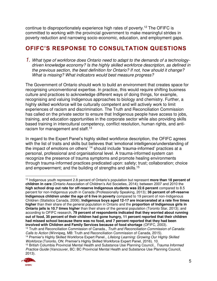continue to disproportionately experience high rates of poverty.<sup>12</sup> The OFIFC is committed to working with the provincial government to make meaningful strides in poverty reduction and narrowing socio-economic, education, and employment gaps.

# **OFIFC'S RESPONSE TO CONSULTATION QUESTIONS**

*1. What type of workforce does Ontario need to adapt to the demands of a technologydriven knowledge economy? Is the highly skilled workforce description, as defined in the previous section, the best definition for Ontario? If not, how should it change? What is missing? What indicators would best measure progress?* 

The Government of Ontario should work to build an environment that creates space for recognising unconventional expertise. In practice, this would require shifting business culture and practices to acknowledge different ways of doing things, for example, recognising and valuing Indigenous approaches to biology and chemistry. Further, a highly skilled workforce will be culturally competent and will actively work to limit experiences of racism and discrimination. The Truth and Reconciliation Commission has called on the private sector to ensure that Indigenous people have access to jobs, training, and education opportunities in the corporate sector while also providing skills based training in intercultural competency, conflict resolution, human rights, and antiracism for management and staff.<sup>13</sup>

In regard to the Expert Panel's highly skilled workforce description, the OFIFC agrees with the list of traits and skills but believes that 'emotional intelligence/understanding of the impact of emotions on others' <sup>14</sup> should include 'trauma-informed' practices at a personal, professional and organisational level. A trauma-informed system can recognize the presence of trauma symptoms and promote healing environments through trauma-informed practices predicated upon: safety; trust; collaboration; choice and empowerment; and the building of strengths and skills.<sup>15</sup>

<sup>15</sup> British Columbia Provincial Mental Health and Substance Use Planning Council., *Trauma Informed Practice Guide* (Vancouver, BC: BC Provincial Mental Health and Substance Use Planning Council, 2013).



 $\overline{a}$ <sup>12</sup> Indigenous youth represent 2.8 percent of Ontario's population but represent **more than 18 percent of children in care** (Ontario Association of Children's Aid Societies, 2014); between 2007 and 2010 the **high school drop out rate for off-reserve Indigenous students was 22.6 percent** compared to 8.5 percent for non-Indigenous youth in Canada (Professionally Speaking, 2013); **36 percent of off-reserve Indigenous children under the age of 6 live in poverty** compared to 19 percent of non-Indigenous Children (Statistics Canada, 2006); **Indigenous boys aged 12-17 are incarcerated at a rate five times higher** than their share of the general population in Ontario and the **proportion of Indigenous girls in Ontario jails is 10.7 times higher** than their share of the general population (Toronto Star, 2013); and according to OFIFC research, **79 percent of respondents indicated that they worried about running out of food, 35 percent of their children had gone hungry, 11 percent reported that their children had missed school because there was no food, and 7 percent reported that they had been involved with Children and Family Services because of food shortage** (OFIFC, 2003).

<sup>13</sup> Truth and Reconciliation Commission of Canada., *Truth and Reconciliation Commission of Canada: Calls to Action* (Winnipeg, MB: Truth and Reconciliation Commission of Canada, 2015).

<sup>14</sup> Premier's Highly Skilled Workforce Expert Panel., *Lifelong Learning: Growing Our Highly Skilled Workforce* (Toronto, ON: Premier's Highly Skilled Workforce Expert Panel, 2016). 10.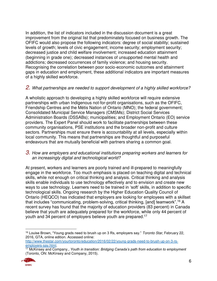In addition, the list of indicators included in the discussion document is a great improvement from the original list that predominately focused on business growth. The OFIFC would also propose the following indicators: degree of social stability; sustained levels of growth; levels of civic engagement; income security; employment security; decreased justice and child welfare involvement; increased education attainment (beginning in grade one); decreased instances of unsupported mental health and addictions; decreased occurrences of family violence; and housing security. Recognising the correlation between poor socio-economic outcomes and attainment gaps in education and employment, these additional indicators are important measures of a highly skilled workforce.

#### *2. What partnerships are needed to support development of a highly skilled workforce?*

A wholistic approach to developing a highly skilled workforce will require extensive partnerships with urban Indigenous not-for-profit organisations, such as the OFIFC, Friendship Centres and the Métis Nation of Ontario (MNO); the federal government; Consolidated Municipal Service Managers (CMSMs); District Social Services Administration Boards (DSSABs); municipalities; and Employment Ontario (EO) service providers. The Expert Panel should work to facilitate partnerships between these community organisations, PSE institutions and the broader non-profit and culture sectors. Partnerships must ensure there is accountability at all levels, especially within local community. This means that partnerships are thoughtful and purposeful endeavours that are mutually beneficial with partners sharing a common goal.

#### *3. How are employers and educational institutions preparing workers and learners for an increasingly digital and technological world?*

At present, workers and learners are poorly trained and ill-prepared to meaningfully engage in the workforce. Too much emphasis is placed on teaching digital and technical skills, while not enough on critical thinking and analysis. Critical thinking and analysis skills enable individuals to use technology effectively and to envision and create new ways to use technology. Learners need to be trained in 'soft' skills, in addition to specific technological skills. Ongoing research by the Higher Education Quality Council of Ontario (HEQCO) has indicated that employers are looking for employees with a skillset that includes "communicating, problem-solving, critical thinking, [and] teamwork".<sup>16</sup> A recent survey has found that the majority of education providers (83 percent) in Canada believe that youth are adequately prepared for the workforce, while only 44 percent of youth and 34 percent of employers believe youth are prepared.<sup>17</sup>

[http://www.thestar.com/yourtoronto/education/2016/02/22/young-grads-need-to-brush-up-on-3-rs](http://www.thestar.com/yourtoronto/education/2016/02/22/young-grads-need-to-brush-up-on-3-rs-employers-say.html)[employers-say.html.](http://www.thestar.com/yourtoronto/education/2016/02/22/young-grads-need-to-brush-up-on-3-rs-employers-say.html)

<sup>17</sup> McKinsey and Company., *Youth in transition: Bridging Canada's path from education to employment* (Toronto, ON: McKinsey and Company, 2015).



 $\overline{a}$ <sup>16</sup> Louise Brown, "Young grads need to brush up on 3 Rs, employers say." *Toronto Star*, February 22, 2016, GTA, online edition. Accessed online: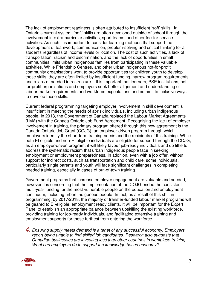The lack of employment readiness is often attributed to insufficient 'soft' skills. In Ontario's current system, 'soft' skills are often developed outside of school through the involvement in extra-curricular activities, sport teams, and other fee-for-service activities. As such it is important to consider learning methods that support the development of teamwork, communication, problem-solving and critical thinking for all students regardless of income levels or location. The cost of such activities, a lack of transportation, racism and discrimination, and the lack of opportunities in small communities limits urban Indigenous families from participating in these valuable activities. While Friendship Centres, and other urban Indigenous not-for-profit community organisations work to provide opportunities for children youth to develop these skills, they are often limited by insufficient funding, narrow program requirements and a lack of needed infrastructure. It is important that learners, PSE institutions, notfor-profit organisations and employers seek better alignment and understanding of labour market requirements and workforce expectations and commit to inclusive ways to develop these skills.

Current federal programming targeting employer involvement in skill development is insufficient in meeting the needs of at-risk individuals, including urban Indigenous people. In 2013, the Government of Canada replaced the Labour Market Agreements (LMA) with the Canada-Ontario Job Fund Agreement. Recognising the lack of employer involvement in training, the primary program offered through this new agreement is the Canada Ontario Job Grant (COJG), an employer-driven program through which employers identify the short-term training needs and the recipients of this training. While both EI eligible and non-EI eligible individuals are eligible for support through the COJG, as an employer-driven program, it will likely favour job-ready individuals and do little to address the systematic racism that urban Indigenous people face in seeking employment or employment preparedness. In addition, even with a job offer, without support for indirect costs, such as transportation and child care, some individuals, particularly single parents and youth will face significant challenges in completing needed training, especially in cases of out-of-town training.

Government programs that increase employer engagement are valuable and needed, however it is concerning that the implementation of the COJG ended the consistent multi-year funding for the most vulnerable people on the education and employment continuum, including urban Indigenous people. In fact, as a result of this shift in programming, by 2017/2018, the majority of transfer-funded labour market programs will be geared to EI-eligible, employment ready clients. It will be important for the Expert Panel to establish an appropriate balance between upskilling the existing workforce, providing training for job-ready individuals, and facilitating extensive training and employment supports for those furthest from entering the workforce.

*4. Ensuring supply meets demand is a tenet of any successful economy. Employers report being unable to find skilled job candidates. Research also suggests that Canadian businesses are investing less than other countries in workplace training. What can employers do to support the knowledge based economy?* 

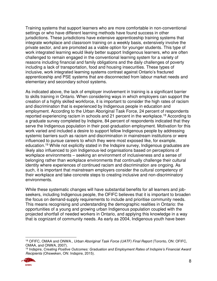Training systems that support learners who are more comfortable in non-conventional settings or who have different learning methods have found success in other jurisdictions. These jurisdictions have extensive apprenticeship training systems that integrate workplace and classroom training on a weekly basis, extensively involve the private sector, and are promoted as a viable option for younger students. This type of work integrated learning would likely better support Indigenous learners, who are often challenged to remain engaged in the conventional learning system for a variety of reasons including financial and family obligations and the daily challenges of poverty including a lack of transportation, food and housing insecurities. These types of inclusive, work integrated learning systems contrast against Ontario's fractured apprenticeship and PSE systems that are disconnected from labour market needs and elementary and secondary school systems.

As indicated above, the lack of employer involvement in training is a significant barrier to skills training in Ontario. When considering ways in which employers can support the creation of a highly skilled workforce, it is important to consider the high rates of racism and discrimination that is experienced by Indigenous people in education and employment. According to the Urban Aboriginal Task Force, 24 percent of respondents reported experiencing racism in schools and 21 percent in the workplace.<sup>18</sup> According to a graduate survey completed by Indspire, 84 percent of respondents indicated that they serve the Indigenous population in their post-graduation employment. Motivation for this work varied and included a desire to support fellow Indigenous people by addressing systemic barriers such as racism and discrimination in mainstream institutions or were influenced to pursue careers to which they were most exposed like, for example, education.<sup>19</sup> While not explicitly stated in the Indspire survey, Indigenous graduates are likely also influenced to join Indigenous-led organisations based on perceptions of workplace environments – seeking an environment of inclusiveness and a sense of belonging rather than workplace environments that continually challenge their cultural identity where experiences of continued racism and discrimination are ongoing. As such, it is important that mainstream employers consider the cultural competency of their workplace and take concrete steps to creating inclusive and non-discriminatory environments.

While these systematic changes will have substantial benefits for all learners and jobseekers, including Indigenous people, the OFIFC believes that it is important to broaden the focus on demand-supply requirements to include and prioritise community needs. This means recognising and understanding the demographic realities in Ontario: the opportunities of a young and growing urban Indigenous population coupled with the projected shortfall of needed workers in Ontario, and applying this knowledge in a way that is cognizant of community needs. As early as 2004, Indigenous youth have been

<sup>19</sup> Indspire, *Creating Positive Outcomes: Graduation and Employment Rates of Indspire's Financial Award Recipients* (Ohsweken, ON: Indspire, 2015).



 $\overline{a}$ 

<sup>18</sup> OFIFC, OMAA and ONWA., *Urban Aboriginal Task Force (UATF) Final Report* (Toronto, ON: OFIFC, OMAA, and ONWA, 2007).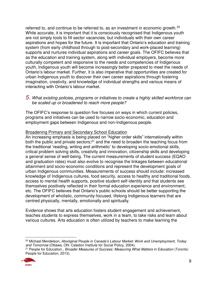referred to, and continue to be referred to, as an investment in economic growth.<sup>20</sup> While accurate, it is important that it is consciously recognised that Indigenous youth are not simply tools to fill sector vacancies, but individuals with their own career aspirations and hopes for the future. It is important that Ontario's education and training system (from early childhood through to post-secondary and work-placed learning) supports and nurtures individual aspirations and career goals. The OFIFC believes that as the education and training system, along with individual employers, become more culturally competent and responsive to the needs and competencies of Indigenous youth, Indigenous youth will become increasingly better prepared to meet the needs of Ontario's labour market. Further, it is also imperative that opportunities are created for urban Indigenous youth to discover their own career aspirations through fostering imagination, creativity, and knowledge of individual strengths and various means of interacting with Ontario's labour market.

#### *5. What existing policies, programs or initiatives to create a highly skilled workforce can be scaled up or broadened to reach more people?*

The OFIFC's response to question five focuses on ways in which current policies, programs and initiatives can be used to narrow socio-economic, education and employment gaps between Indigenous and non-Indigenous people.

#### Broadening Primary and Secondary School Education

An increasing emphasis is being placed on "higher order skills" internationally within both the public and private sectors;<sup>21</sup> and the need to broaden the teaching focus from the traditional 'reading, writing and arithmetic' to developing socio-emotional skills, critical problem solving skills, creativity and innovation, citizenship skills and developing a general sense of well-being. The current measurements of student success (EQAO and graduation rates) must also evolve to recognise the linkages between educational attainment and socio-economic conditions and represent the development goals of urban Indigenous communities. Measurements of success should include: increased knowledge of Indigenous cultures, food security, access to healthy and traditional foods, access to mental health supports, positive student self-identity and that students see themselves positively reflected in their formal education experience and environment, etc. The OFIFC believes that Ontario's public schools should be better supporting the development of wholistic, community-focused, lifelong Indigenous learners that are centred physically, mentally, emotionally and spiritually.

Evidence shows that arts education fosters student engagement and achievement, teaches students to express themselves, work in a team, to take risks and learn about various cultures. Arts education is often utilized by teachers to make learning the

<sup>21</sup> People for Education., *Broader Measures of Success: Measuring What Matters in Education* (Toronto: People for Education, 2013).



 $\overline{a}$ 

<sup>20</sup> Michael Mendelson, *Aboriginal People in Canada's Labour Market: Work and Unemployment, Today and Tomorrow* (Ottawa, ON: Caledon Institute for Social Policy, 2004).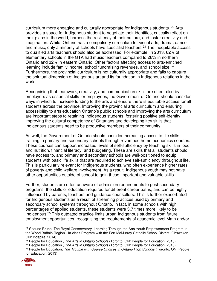curriculum more engaging and culturally appropriate for Indigenous students. <sup>22</sup> Arts provides a space for Indigenous student to negotiate their identities, critically reflect on their place in the world, harness the resiliency of their culture, and foster creativity and imagination. While, Ontario has a compulsory curriculum for visual arts, drama, dance and music, only a minority of schools have specialist teachers.<sup>23</sup> The inequitable access to qualified arts teachers should also be addressed. For example, in 2013, 62% of elementary schools in the GTA had music teachers compared to 26% in northern Ontario and 32% in eastern Ontario. Other factors affecting access to arts-enriched learning include family income, school fundraising revenues, and school size.<sup>24</sup> Furthermore, the provincial curriculum is not culturally appropriate and fails to capture the spiritual dimension of Indigenous art and its foundation in Indigenous relations in the world.

Recognising that teamwork, creativity, and communication skills are often cited by employers as essential skills for employees, the Government of Ontario should consider ways in which to increase funding to the arts and ensure there is equitable access for all students across the province. Improving the provincial arts curriculum and ensuring accessibility to arts education Ontario's public schools and improving the arts curriculum are important steps to retaining Indigenous students, fostering positive self-identity, improving the cultural competency of Ontarians and developing key skills that Indigenous students need to be productive members of their community.

As well, the Government of Ontario should consider increasing access to life skills training in primary and secondary schools through revamped home economics courses. These courses can support increased levels of self-sufficiency by teaching skills in food and nutrition, financial literacy, and budgeting. These are skills that all students should have access to, and primary and secondary schools are well-positioned to equip students with basic life skills that are required to achieve self-sufficiency throughout life. This is particularly relevant for Indigenous students, who often experience higher rates of poverty and child welfare involvement. As a result, Indigenous youth may not have other opportunities outside of school to gain these important and valuable skills.

Further, students are often unaware of admission requirements to post-secondary programs, the skills or education required for different career paths, and can be highly influenced by parents, teachers and guidance counsellors. This is further exacerbated for Indigenous students as a result of streaming practices used by primary and secondary school systems throughout Ontario. In fact, in some schools with high percentages of applied students, these students were 3.7 times more likely to be Indigenous.<sup>25</sup> This outdated practice limits urban Indigenous students from future employment opportunities, recognising the requirements of academic level Math and/or

<sup>25</sup> People for Education, *The Trouble with Course Choices in Ontario High Schools* (Toronto, ON: People for Education, 2013).



 $\overline{a}$ <sup>22</sup> Shauna Bruno, The Royal Conservatory, Learning Through the Arts Youth Empowerment Program in the Wood Buffalo Region - In-class Program with the Fort McMurray Catholic School District (Ohsweken, ON: Indspire, 2014).

<sup>23</sup> People for Education., *The Arts in Ontario Schools* (Toronto, ON: People for Education, 2013).

<sup>24</sup> People for Education., *The Arts in Ontario Schools* (Toronto, ON: People for Education, 2013).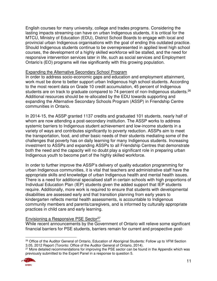English courses for many university, college and trades programs. Considering the lasting impacts streaming can have on urban Indigenous students, it is critical for the MTCU, Ministry of Education (EDU), District School Boards to engage with local and provincial urban Indigenous organisations with the goal of ending this outdated practice. Should Indigenous students continue to be overrepresented in applied level high school courses, the development of a highly skilled workforce will be stalled, and the need for responsive intervention services later in life, such as social services and Employment Ontario's (EO) programs will rise significantly with this growing population.

#### Expanding the Alternative Secondary School Program

In order to address socio-economic gaps and education and employment attainment, work must be done to better support urban Indigenous high school students. According to the most recent data on Grade 10 credit accumulation, 45 percent of Indigenous students are on track to graduate compared to 74 percent of non-Indigenous students.<sup>26</sup> Additional resources should be re-allocated by the EDU towards supporting and expanding the Alternative Secondary Schools Program (ASSP) in Friendship Centre communities in Ontario.

In 2014-15, the ASSP granted 1137 credits and graduated 101 students, nearly half of whom are now attending a post-secondary institution. The ASSP works to address systemic barriers to Indigenous student achievement and low-income students in a variety of ways and contributes significantly to poverty reduction. ASSPs aim to meet the transportation, food, and other basic needs of their students mediating some of the challenges that poverty has on daily learning for many Indigenous students. Increasing investment to ASSPs and expanding ASSPs to all Friendship Centres that demonstrate both the need and the capacity will no doubt play a significant role in preparing urban Indigenous youth to become part of the highly skilled workforce.

In order to further improve the ASSP's delivery of quality education programming for urban Indigenous communities, it is vital that teachers and administrative staff have the appropriate skills and knowledge of urban Indigenous health and mental health issues. There is a need for additional specialised staff in certain schools with high proportions of Individual Education Plan (IEP) students given the added support that IEP students require. Additionally, more work is required to ensure that students with developmental disabilities are assessed early and that transition planning from early years to kindergarten reflects mental health assessments, is accountable to Indigenous community members and parents/caregivers, and is informed by culturally appropriate practices in child care and early learning.

#### Envisioning a Responsive PSE Sector<sup>27</sup>

While recent announcements by the Government of Ontario will relieve some significant financial barriers for PSE students, barriers remain for current and prospective post-

<sup>&</sup>lt;sup>27</sup> More detailed recommendations for improving the PSE sector can be found in the Appendix which was previously submitted to the Expert Panel in a response to question 5.



 $\overline{a}$ <sup>26</sup> Office of the Auditor General of Ontario, Education of Aboriginal Students: Follow up to VFM Section 3.05, 2012 Report (Toronto: Office of the Auditor General of Ontario, 2014).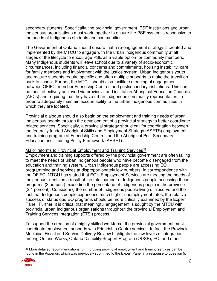secondary students. Specifically, the provincial government, PSE institutions and urban Indigenous organisations must work together to ensure the PSE system is responsive to the needs of Indigenous students and communities.

The Government of Ontario should ensure that a re-engagement strategy is created and implemented by the MTCU to engage with the urban Indigenous community at all stages of the lifecycle to encourage PSE as a viable option for community members. Many Indigenous students will leave school due to a variety of socio-economic circumstances, including financial concerns and commitments, housing instability, care for family members and involvement with the justice system. Urban Indigenous youth and mature students require specific and often multiple supports to make the transition back to school. Further, the MTCU should also facilitate meaningful engagement between OFIFC, member Friendship Centres and postsecondary institutions. This can be most effectively achieved via provincial and institution Aboriginal Education Councils (AECs) and requiring that they have urban Indigenous community representation, in order to adequately maintain accountability to the urban Indigenous communities in which they are located.

Provincial dialogue should also begin on the employment and training needs of urban Indigenous people through the development of a provincial strategy to better coordinate related services. Specifically, a provincial strategy should call for coordination between the federally funded Aboriginal Skills and Employment Strategy (ASETS) employment and training program at Friendship Centres and the Aboriginal Post Secondary Education and Training Policy Framework (APSET).

#### Major reforms to Provincial Employment and Training Services<sup>28</sup>

Employment and training supports offered by the provincial government are often failing to meet the needs of urban Indigenous people who have become disengaged from the education and training system. Urban Indigenous people are accessing EO programming and services at disproportionately low numbers. In correspondence with the OFIFC, MTCU has stated that EO's Employment Services are meeting the needs of Indigenous clients as a result of the total number of Indigenous people accessing these programs (3 percent) exceeding the percentage of Indigenous people in the province (2.4 percent). Considering the number of Indigenous people living off-reserve and the fact that Indigenous people experience much higher unemployment rates, the relative success of status quo EO programs should be more critically examined by the Expert Panel. Further, it is critical that meaningful engagement is sought by the MTCU with provincial urban Indigenous organisations throughout the provincial Employment and Training Services Integration (ETSI) process.

To support the creation of a highly skilled workforce, the provincial government must coordinate employment supports with Friendship Centre services. In fact, the Provincial-Municipal Fiscal and Service Delivery Review highlights the low levels of integration among Ontario Works, Ontario Disability Support Program (ODSP), EO, and other

<sup>&</sup>lt;sup>28</sup> More detailed recommendations for improving provincial employment and training services can be found in the Appendix which was previously submitted to the Expert Panel in a response to question 5.



 $\overline{a}$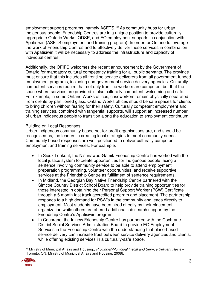employment support programs, namely ASETS.<sup>29</sup> As community hubs for urban Indigenous people, Friendship Centres are in a unique position to provide culturally appropriate Ontario Works, ODSP, and EO employment supports in conjunction with Apatisiwin (ASETS employment and training program). In order for Ontario to leverage the work of Friendship Centres and to effectively deliver these services in combination with Apatisiwin it will be necessary to address the infrastructure and capacity of individual centres.

Additionally, the OFIFC welcomes the recent announcement by the Government of Ontario for mandatory cultural competency training for all public servants. The province must ensure that this includes all frontline service deliverers from all government-funded employment programs, including non-government service delivery agencies. Culturally competent services require that not only frontline workers are competent but that the space where services are provided is also culturally competent, welcoming and safe. For example, in some Ontario Works offices, caseworkers remain physically separated from clients by partitioned glass. Ontario Works offices should be safe spaces for clients to bring children without fearing for their safety. Culturally competent employment and training services, combined with tangential supports, will support an increased number of urban Indigenous people to transition along the education to employment continuum.

#### Building on Local Responses

Urban Indigenous community based not-for-profit organisations are, and should be recognised as, the leaders in creating local strategies to meet community needs. Community based responses are well-positioned to deliver culturally competent employment and training services. For example:

- In Sioux Lookout, the Nishnawbe-Gamik Friendship Centre has worked with the local justice system to create opportunities for Indigenous people facing a sentence involving community service to be able to attend employment preparation programming, volunteer opportunities, and receive supportive services at the Friendship Centre as fulfillment of sentence requirements.
- In Midland, the Georgian Bay Native Friendship Centre partnered with the Simcoe Country District School Board to help provide training opportunities for those interested in obtaining their Personal Support Worker (PSW) Certificate through a 6 month fast track accredited program and placement. The partnership responds to a high demand for PSW's in the community and leads directly to employment. Most students have been hired directly by their placement organization while others are offered additional job search support by the Friendship Centre's Apatisiwin program.
- In Cochrane, the Ininew Friendship Centre has partnered with the Cochrane District Social Services Administration Board to provide EO Employment Services in the Friendship Centre with the understanding that place-based service delivery can increase trust between service delivery agencies and clients, while offering existing services in a culturally-safe space.

 $\overline{a}$ <sup>29</sup> Ministry of Municipal Affairs and Housing., *Provincial-Municipal Fiscal and Service Delivery Review* (Toronto, ON: Ministry of Municipal Affairs and Housing, 2008).

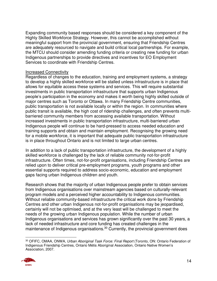Expanding community based responses should be considered a key component of the Highly Skilled Workforce Strategy. However, this cannot be accomplished without meaningful support from the provincial government, ensuring that Friendship Centres are adequately resourced to navigate and build critical local partnerships. For example, the MTCU should consider amending funding criteria or creating new funding for urban Indigenous partnerships to provide directives and incentives for EO Employment Services to coordinate with Friendship Centres.

#### Increased Connectivity

Regardless of changes to the education, training and employment systems, a strategy to develop a highly skilled workforce will be stalled unless infrastructure is in place that allows for equitable access these systems and services. This will require substantial investments in public transportation infrastructure that supports urban Indigenous people's participation in the economy and makes it worth being highly skilled outside of major centres such as Toronto or Ottawa. In many Friendship Centre communities, public transportation is not available locally or within the region. In communities where public transit is available, the high cost of ridership challenges, and often prevents multibarriered community members from accessing available transportation. Without increased investments in public transportation infrastructure, multi-barriered urban Indigenous people will continue to be hard-pressed to access needed education and training supports and obtain and maintain employment. Recognising the growing need for a mobile workforce, it is important that adequate public transportation infrastructure is in place throughout Ontario and is not limited to large urban centres.

In addition to a lack of public transportation infrastructure, the development of a highly skilled workforce is challenged by the lack of reliable community not-for-profit infrastructure. Often times, not-for-profit organisations, including Friendship Centres are relied upon to deliver critical pre-employment programs, youth programs and other essential supports required to address socio-economic, education and employment gaps facing urban Indigenous children and youth.

Research shows that the majority of urban Indigenous people prefer to obtain services from Indigenous organisations over mainstream agencies based on culturally-relevant program models and a perceived higher accountability to Indigenous communities. Without reliable community-based infrastructure the critical work done by Friendship Centres and other urban Indigenous not-for-profit organisations may be jeopardised, certainly will not be optimised, and at the very least will be challenged to meet the needs of the growing urban Indigenous population. While the number of urban Indigenous organisations and services has grown significantly over the past 30 years, a lack of needed infrastructure and core funding has created challenges in the maintenance of Indigenous organisations.<sup>30</sup> Currently, the provincial government does

 $\overline{a}$ <sup>30</sup> OFIFC, OMAA, ONWA, *Urban Aboriginal Task Force: Final Report* (Toronto, ON: Ontario Federation of Indigenous Friendship Centres, Ontario Métis Aboriginal Association, Ontario Native Women's Association, 2007.

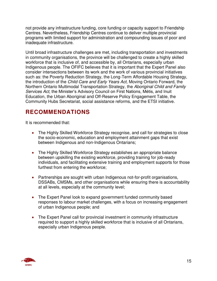not provide any infrastructure funding, core funding or capacity support to Friendship Centres. Nevertheless, Friendship Centres continue to deliver multiple provincial programs with limited support for administration and compounding issues of poor and inadequate infrastructure.

Until broad infrastructure challenges are met, including transportation and investments in community organisations, the province will be challenged to create a highly skilled workforce that is inclusive of, and accessible by, all Ontarians, especially urban Indigenous people. The OFIFC believes that it is important that the Expert Panel also consider intersections between its work and the work of various provincial initiatives such as: the Poverty Reduction Strategy, the Long-Term Affordable Housing Strategy, the introduction of the *Child Care and Early Years Act*, Moving Ontario Forward, the Northern Ontario Multimodal Transportation Strategy, the *Aboriginal Child and Family Services Act*, the Minister's Advisory Council on First Nations, Métis, and Inuit Education, the Urban Aboriginal and Off-Reserve Policy Engagement Table, the Community Hubs Secretariat, social assistance reforms, and the ETSI initiative.

# **RECOMMENDATIONS**

It is recommended that:

- The Highly Skilled Workforce Strategy recognise, and call for strategies to close the socio-economic, education and employment attainment gaps that exist between Indigenous and non-Indigenous Ontarians;
- The Highly Skilled Workforce Strategy establishes an appropriate balance between upskilling the existing workforce, providing training for job-ready individuals, and facilitating extensive training and employment supports for those furthest from entering the workforce;
- Partnerships are sought with urban Indigenous not-for-profit organisations, DSSABs, CMSMs, and other organisations while ensuring there is accountability at all levels, especially at the community level;
- The Expert Panel look to expand government funded community based responses to labour market challenges, with a focus on increasing engagement of urban Indigenous people; and
- The Expert Panel call for provincial investment in community infrastructure required to support a highly skilled workforce that is inclusive of all Ontarians, especially urban Indigenous people.

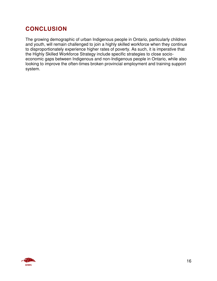# **CONCLUSION**

The growing demographic of urban Indigenous people in Ontario, particularly children and youth, will remain challenged to join a highly skilled workforce when they continue to disproportionately experience higher rates of poverty. As such, it is imperative that the Highly Skilled Workforce Strategy include specific strategies to close socioeconomic gaps between Indigenous and non-Indigenous people in Ontario, while also looking to improve the often-times broken provincial employment and training support system.

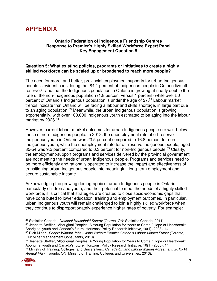### **APPENDIX**

#### **Ontario Federation of Indigenous Friendship Centres Response to Premier's Highly Skilled Workforce Expert Panel Key Engagement Question 5**

#### **Question 5: What existing policies, programs or initiatives to create a highly skilled workforce can be scaled up or broadened to reach more people?**

The need for more, and better, provincial employment supports for urban Indigenous people is evident considering that 84.1 percent of Indigenous people in Ontario live offreserve,<sup>31</sup> and that the Indigenous population in Ontario is growing at nearly double the rate of the non-Indigenous population (1.8 percent versus 1 percent) while over 50 percent of Ontario's Indigenous population is under the age of 27.<sup>32</sup> Labour market trends indicate that Ontario will be facing a labour and skills shortage, in large part due to an aging population.<sup>33</sup> Meanwhile, the urban Indigenous population is growing exponentially, with over 100,000 Indigenous youth estimated to be aging into the labour market by 2026.<sup>34</sup>

However, current labour market outcomes for urban Indigenous people are well-below those of non-Indigenous people. In 2012, the unemployment rate of off-reserve Indigenous youth in Ontario was 23.5 percent compared to 16.8 percent for non-Indigenous youth, while the unemployment rate for off-reserve Indigenous people, aged 35-54 was 9.2 percent compared to 6.3 percent for non-Indigenous people.<sup>35</sup> Clearly, the employment-support programs and services delivered by the provincial government are not meeting the needs of urban Indigenous people. Programs and services need to be more efficiently and rationally operated to increase the impact and effectiveness of transitioning urban Indigenous people into meaningful, long-term employment and secure sustainable income.

Acknowledging the growing demographic of urban Indigenous people in Ontario, particularly children and youth, and their potential to meet the needs of a highly skilled workforce, it is critical that strategies are created to close socio-economic gaps that have contributed to lower education, training and employment outcomes. In particular, urban Indigenous youth will remain challenged to join a highly skilled workforce when they continue to disproportionately experience higher rates of poverty. For example:

<sup>32</sup> Jeanette Steffler, "Aboriginal Peoples: A Young Population for Years to Come," Hope or Heartbreak: Aboriginal youth and Canada's future. Horizons: Policy Research Initiative, 10(1) (2008): 14. <sup>33</sup> Rick Miner., *People Without Jobs – Jobs Without People: Ontario's Labour Market Future* (Toronto,

ON: Miner Management Consultants, 2010).

*Annual Plan* (Toronto, ON: Ministry of Training, Colleges and Universities, 2013).



 $\overline{a}$ <sup>31</sup> Statistics Canada., *National Household Survey* (Ottawa, ON: Statistics Canada, 2011).

<sup>34</sup> Jeanette Steffler, "Aboriginal Peoples: A Young Population for Years to Come," Hope or Heartbreak: Aboriginal youth and Canada's future. Horizons: Policy Research Initiative, 10(1) (2008): 14. <sup>35</sup> Ministry of Training, Colleges, and Universities., *Canada-Ontario Labour Market Agreement, 2013-14*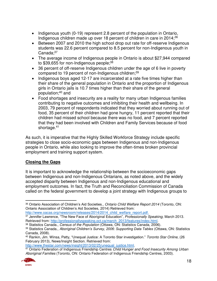- Indigenous youth (0-19) represent 2.8 percent of the population in Ontario, Indigenous children made up over 18 percent of children in care in 2014;<sup>36</sup>
- Between 2007 and 2010 the high school drop out rate for off-reserve Indigenous students was 22.6 percent compared to 8.5 percent for non-Indigenous youth in  $\mathsf{Canada};^{\mathsf{37}}$
- The average income of Indigenous people in Ontario is about \$27,944 compared to \$39,655 for non-Indigenous people;<sup>38</sup>
- 36 percent of off-reserve Indigenous children under the age of 6 live in poverty compared to 19 percent of non-Indigenous children;<sup>39</sup>
- Indigenous boys aged 12-17 are incarcerated at a rate five times higher than their share of the general population in Ontario and the proportion of Indigenous girls in Ontario jails is 10.7 times higher than their share of the general population;<sup>40</sup> and
- Food shortages and insecurity are a reality for many urban Indigenous families contributing to negative outcomes and inhibiting their health and wellbeing. In 2003, 79 percent of respondents indicated that they worried about running out of food, 35 percent of their children had gone hungry, 11 percent reported that their children had missed school because there was no food, and 7 percent reported that they had been involved with Children and Family Services because of food shortage.<sup>41</sup>

As such, it is imperative that the Highly Skilled Workforce Strategy include specific strategies to close socio-economic gaps between Indigenous and non-Indigenous people in Ontario, while also looking to improve the often-times broken provincial employment and training support system.

#### **Closing the Gaps**

It is important to acknowledge the relationship between the socioeconomic gaps between Indigenous and non-Indigenous Ontarians, as noted above, and the widely accepted disparity between Indigenous and non-Indigenous educational and employment outcomes. In fact, the Truth and Reconciliation Commission of Canada called on the federal government to develop a joint strategy with Indigenous groups to

[http://www.oacas.org/newsroom/releases/2014/2014\\_child\\_welfare\\_report.pdf.](http://www.oacas.org/newsroom/releases/2014/2014_child_welfare_report.pdf)

<sup>37</sup> Jennifer Lawrence, "The New Face of Aboriginal Education", *Professionally Speaking,* March 2013*.*  Retrieved from: [http://professionallyspeaking.oct.ca/march\\_2013/features/index.html.](http://professionallyspeaking.oct.ca/march_2013/features/index.html)

[http://www.thestar.com/news/insight/2013/02/25/unequal\\_justice.html.](http://www.thestar.com/news/insight/2013/02/25/unequal_justice.html)

<sup>41</sup> Ontario Federation of Indigenous Friendship Centres *Child Hunger and Food Insecurity Among Urban Aboriginal Families* (Toronto, ON: Ontario Federation of Indigenous Friendship Centres, 2003).



 $\overline{a}$ <sup>36</sup> Ontario Association of Children's Aid Societies., *Ontario Child Welfare Report 2014* (Toronto, ON: Ontario Association of Children's Aid Societies, 2014) Retrieved from:

<sup>38</sup> Statistics Canada., *Census of the Population* (Ottawa, ON: Statistics Canada, 2006).

<sup>39</sup> Statistics Canada., *Aboriginal Children's Survey, 2006: Supporting Data Tables* (Ottawa, ON: Statistics Canada, 2008).

<sup>40</sup> Rankin, Jim. Winsa, Patty, "Unequal Justice: A Toronto Star investigation." *Toronto Star Online,* (26 February 2013), News/Insight Section. Retrieved from: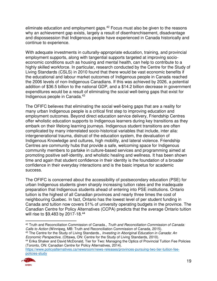eliminate education and employment gaps.<sup>42</sup> Focus must also be given to the reasons why an achievement gap exists, largely a result of disenfranchisement, disadvantage and dispossession that Indigenous people have experienced in Canada historically and continue to experience.

With adequate investments in culturally-appropriate education, training, and provincial employment supports, along with tangential supports targeted at improving socioeconomic conditions such as housing and mental health, can help to contribute to a highly skilled workforce. In particular, research conducted by the Centre for the Study of Living Standards (CSLS) in 2010 found that there would be vast economic benefits if the educational and labour market outcomes of Indigenous people in Canada reached the 2006 levels of non-Indigenous Canadians. If this was achieved by 2026, a potential addition of \$36.5 billion to the national GDP, and a \$14.2 billion decrease in government expenditures would be a result of eliminating the social well-being gaps that exist for Indigenous people in Canada.<sup>43</sup>

The OFIFC believes that eliminating the social well-being gaps that are a reality for many urban Indigenous people is a critical first step to improving education and employment outcomes. Beyond direct education service delivery, Friendship Centres offer wholistic education supports to Indigenous learners during key transitions as they embark on their lifelong learning journeys. Indigenous student transitions are often complicated by many interrelated socio-historical variables that include, inter alia: intergenerational trauma, distrust of the education system, the devaluation of Indigenous Knowledge and cultures, high mobility, and lateral violence. Friendship Centres are community hubs that provide a safe, welcoming space for Indigenous community members to partake in culture-based services and programming aimed at promoting positive self-identity, and wholistic healing and wellness. It has been shown time and again that student confidence in their identity is the foundation of a broader confidence in their everyday interactions and is the basic impetus for academic success.

The OFIFC is concerned about the accessibility of postsecondary education (PSE) for urban Indigenous students given sharply increasing tuition rates and the inadequate preparation that Indigenous students ahead of entering into PSE institutions. Ontario tuition is the highest of all Canadian provinces and nearly three times the cost of neighbouring Quebec. In fact, Ontario has the lowest level of per student funding in Canada and tuition now covers 51% of university operating budgets in the province. The Canadian Centre for Policy Alternatives (CCPA) predicts that the average Ontario tuition will rise to \$9,483 by 2017-18.<sup>44</sup>

<sup>43</sup> The Centre for the Study of Living Standards., *Investing in Aboriginal Education in Canada: An Economic Perspective*, (Ottawa, ON: Centre for the Study of Living Standards, 2010).

[https://www.policyalternatives.ca/newsroom/news-releases/provinces-pursuing-two-tier-tuition-fee](https://www.policyalternatives.ca/newsroom/news-releases/provinces-pursuing-two-tier-tuition-fee-policies-study)[policies-study](https://www.policyalternatives.ca/newsroom/news-releases/provinces-pursuing-two-tier-tuition-fee-policies-study) 



 $\overline{a}$ <sup>42</sup> Truth and Reconciliation Commission of Canada., *Truth and Reconciliation Commission of Canada: Calls to Action* (Winnipeg, MB: Truth and Reconciliation Commission of Canada, 2015).

<sup>44</sup> Erika Shaker and David McDonald, Tier for Two: Managing the Optics of Provincial Tuition Fee Policies (Toronto, ON: Canadian Centre for Policy Alternatives, 2014).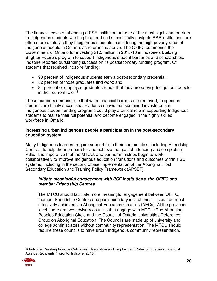The financial costs of attending a PSE institution are one of the most significant barriers to Indigenous students wanting to attend and successfully navigate PSE institutions, are often more acutely felt by Indigenous students, considering the high poverty rates of Indigenous people in Ontario, as referenced above. The OFIFC commends the Government of Ontario for investing \$1.5 million in 2015-16 in Indspire's Building Brighter Future's program to support Indigenous student bursaries and scholarships. Indspire reported outstanding success on its postsecondary funding program. Of students that received Indspire funding:

- 93 percent of Indigenous students earn a post-secondary credential;
- 82 percent of those graduates find work; and
- 84 percent of employed graduates report that they are serving Indigenous people in their current role.<sup>45</sup>

These numbers demonstrate that when financial barriers are removed, Indigenous students are highly successful. Evidence shows that sustained investments in Indigenous student funding programs could play a critical role in supporting Indigenous students to realise their full potential and become engaged in the highly skilled workforce in Ontario.

#### **Increasing urban Indigenous people's participation in the post-secondary education system**

Many Indigenous learners require support from their communities, including Friendship Centres, to help them prepare for and achieve the goal of attending and completing PSE. It is imperative that the MTCU, and partner ministries begin to work collaboratively to improve Indigenous education transitions and outcomes within PSE systems, including in the second phase implementation of the Aboriginal Post Secondary Education and Training Policy Framework (APSET).

#### **Initiate meaningful engagement with PSE institutions, the OFIFC and member Friendship Centres.**

The MTCU should facilitate more meaningful engagement between OFIFC, member Friendship Centres and postsecondary institutions. This can be most effectively achieved via Aboriginal Education Councils (AECs). At the provincial level, there are two advisory councils that engage with MTCU: The Aboriginal Peoples Education Circle and the Council of Ontario Universities Reference Group on Aboriginal Education. The Councils are made up of university and college administrators without community representation. The MTCU should require these councils to have urban Indigenous community representation,

 $\overline{a}$ <sup>45</sup> Indspire, Creating Positive Outcomes: Graduation and Employment Rates of Indspire's Financial Awards Recipients (Toronto: Indspire, 2015).

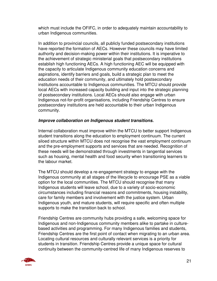which must include the OFIFC, in order to adequately maintain accountability to urban Indigenous communities.

In addition to provincial councils, all publicly funded postsecondary institutions have reported the formation of AECs. However these councils may have limited authority and decision-making power within their institutions. It is imperative to the achievement of strategic ministerial goals that postsecondary institutions establish high functioning AECs. A high functioning AEC will be equipped with the capacity to articulate Indigenous community education concerns and aspirations, identify barriers and goals, build a strategic plan to meet the education needs of their community, and ultimately hold postsecondary institutions accountable to Indigenous communities. The MTCU should provide local AECs with increased capacity building and input into the strategic planning of postsecondary institutions. Local AECs should also engage with urban Indigenous not-for-profit organisations, including Friendship Centres to ensure postsecondary institutions are held accountable to their urban Indigenous community.

#### **Improve collaboration on Indigenous student transitions.**

Internal collaboration must improve within the MTCU to better support Indigenous student transitions along the education to employment continuum. The current siloed structure within MTCU does not recognise the vast employment continuum and the pre-employment supports and services that are needed. Recognition of these needs will be demonstrated through investments in tangential services such as housing, mental health and food security when transitioning learners to the labour market.

The MTCU should develop a re-engagement strategy to engage with the Indigenous community at all stages of the lifecycle to encourage PSE as a viable option for the local communities. The MTCU should recognise that many Indigenous students will leave school, due to a variety of socio-economic circumstances including financial reasons and commitments, housing instability, care for family members and involvement with the justice system. Urban Indigenous youth, and mature students, will require specific and often multiple supports to make the transition back to school.

Friendship Centres are community hubs providing a safe, welcoming space for Indigenous and non-Indigenous community members alike to partake in culturebased activities and programming. For many Indigenous families and students, Friendship Centres are the first point of contact when migrating to an urban area. Locating cultural resources and culturally relevant services is a priority for students in transition. Friendship Centres provide a unique space for cultural continuity between the community-centred life of many Indigenous reserves to

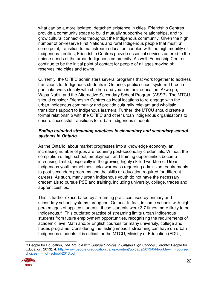what can be a more isolated, detached existence in cities. Friendship Centres provide a community space to build mutually supportive relationships, and to grow cultural connections throughout the Indigenous community. Given the high number of on-reserve First Nations and rural Indigenous people that must, at some point, transition to mainstream education coupled with the high mobility of Indigenous families, Friendship Centres provide essential services catered to the unique needs of the urban Indigenous community. As well, Friendship Centres continue to be the initial point of contact for people of all ages moving off reserves into cities and towns.

Currently, the OFIFC administers several programs that work together to address transitions for Indigenous students in Ontario's public school system. Three in particular work closely with children and youth in their education: Akwe:go, Wasa-Nabin and the Alternative Secondary School Program (ASSP). The MTCU should consider Friendship Centres as ideal locations to re-engage with the urban Indigenous community and provide culturally relevant and wholistic transitions support to Indigenous learners. Further, the MTCU should create a formal relationship with the OFIFC and other urban Indigenous organisations to ensure successful transitions for urban Indigenous students.

#### **Ending outdated streaming practices in elementary and secondary school systems in Ontario.**

As the Ontario labour market progresses into a knowledge economy, an increasing number of jobs are requiring post-secondary credentials. Without the completion of high school, employment and training opportunities become increasing limited, especially in the growing highly skilled workforce. Urban Indigenous youth sometimes lack awareness regarding admission requirements to post-secondary programs and the skills or education required for different careers. As such, many urban Indigenous youth do not have the necessary credentials to pursue PSE and training, including university, college, trades and apprenticeships.

This is further exacerbated by streaming practices used by primary and secondary school systems throughout Ontario. In fact, in some schools with high percentages of applied students, these students were 3.7 times more likely to be Indigenous.<sup>46</sup> This outdated practice of streaming limits urban Indigenous students from future employment opportunities, recognising the requirements of academic level Math and/or English courses for many university, college and trades programs. Considering the lasting impacts streaming can have on urban Indigenous students, it is critical for the MTCU, Ministry of Education (EDU),

 $\overline{a}$ <sup>46</sup> People for Education, *The Trouble with Course Choices in Ontario High Schools* (Toronto: People for Education, 2013), 4. [http://www.peopleforeducation.ca/wp-content/uploads/2013/04/trouble-with-course](http://www.peopleforeducation.ca/wp-content/uploads/2013/04/trouble-with-course-choices-in-high-school-2013.pdf)[choices-in-high-school-2013.pdf](http://www.peopleforeducation.ca/wp-content/uploads/2013/04/trouble-with-course-choices-in-high-school-2013.pdf)

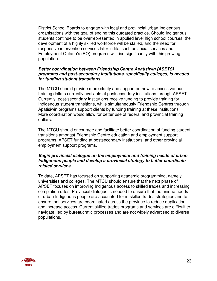District School Boards to engage with local and provincial urban Indigenous organisations with the goal of ending this outdated practice. Should Indigenous students continue to be overrepresented in applied level high school courses, the development of a highly skilled workforce will be stalled, and the need for responsive intervention services later in life, such as social services and Employment Ontario's (EO) programs will rise significantly with this growing population.

#### **Better coordination between Friendship Centre Apatisiwin (ASETS) programs and post-secondary institutions, specifically colleges, is needed for funding student transitions.**

The MTCU should provide more clarity and support on how to access various training dollars currently available at postsecondary institutions through APSET. Currently, post-secondary institutions receive funding to provide training for Indigenous student transitions, while simultaneously Friendship Centres through Apatisiwin programs support clients by funding training at these institutions. More coordination would allow for better use of federal and provincial training dollars.

The MTCU should encourage and facilitate better coordination of funding student transitions amongst Friendship Centre education and employment support programs, APSET funding at postsecondary institutions, and other provincial employment support programs.

#### **Begin provincial dialogue on the employment and training needs of urban Indigenous people and develop a provincial strategy to better coordinate related services.**

To date, APSET has focused on supporting academic programming, namely universities and colleges. The MTCU should ensure that the next phase of APSET focuses on improving Indigenous access to skilled trades and increasing completion rates. Provincial dialogue is needed to ensure that the unique needs of urban Indigenous people are accounted for in skilled trades strategies and to ensure that services are coordinated across the province to reduce duplication and increase access. Current skilled trades programs and services are difficult to navigate, led by bureaucratic processes and are not widely advertised to diverse populations.

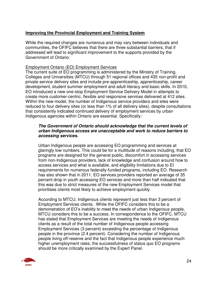#### **Improving the Provincial Employment and Training System**

While the required changes are numerous and may vary between individuals and communities, the OFIFC believes that there are three substantial barriers, that if addressed will lead to significant improvement to the supports provided by the Government of Ontario:

#### Employment Ontario (EO) Employment Services

The current suite of EO programming is administered by the Ministry of Training, Colleges and Universities (MTCU) through 51 regional offices and 435 non-profit and private service delivery sites and include pre-apprenticeship, apprenticeship, career development, student summer employment and adult literacy and basic skills. In 2010, EO introduced a new one-stop Employment Service Delivery Model in attempts to create more customer-centric, flexible and responsive services delivered at 412 sites. Within the new model, the number of Indigenous service providers and sites were reduced to four delivery sites (or less than 1% of all delivery sites), despite consultations that consistently indicated continued delivery of employment services by urban Indigenous agencies within Ontario are essential. Specifically:

#### **The Government of Ontario should acknowledge that the current levels of urban Indigenous access are unacceptable and work to reduce barriers to accessing services.**

Urban Indigenous people are accessing EO programming and services at glaringly low numbers. This could be for a multitude of reasons including, that EO programs are designed for the general public, discomfort in accessing services from non-Indigenous providers, lack of knowledge and confusion around how to access services and what is available, and eligibility limitations due to EI requirements for numerous federally-funded programs, including EO. Research has also shown that in 2011, EO services providers reported an average of 35 percent drop in youth accessing EO services and more than half indicated that this was due to strict measures of the new Employment Services model that prioritises clients most likely to achieve employment quickly.

According to MTCU, Indigenous clients represent just less than 3 percent of Employment Services clients. While the OFIFC considers this to be a demonstration of EO's inability to meet the needs of urban Indigenous people, MTCU considers this to be a success. In correspondence to the OFIFC, MTCU has stated that Employment Services are meeting the needs of Indigenous clients as a result of the total number of Indigenous people accessing Employment Services (3 percent) exceeding the percentage of Indigenous people in the province (2.4 percent). Considering the number of Indigenous people living off-reserve and the fact that Indigenous people experience much higher unemployment rates, the successfulness of status quo EO programs should be more critically examined by the Expert Panel.

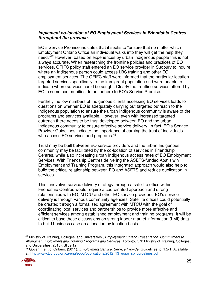#### **Implement co-location of EO Employment Services in Friendship Centres throughout the province.**

EO's Service Promise indicates that it seeks to "ensure that no matter which Employment Ontario Office an individual walks into they will get the help they need."<sup>47</sup> However, based on experiences by urban Indigenous people this is not always accurate. When researching the frontline policies and practices of EO services, OFIFC policy staff entered an EO service provider in Sudbury to inquire where an Indigenous person could access LBS training and other EO employment services. The OFIFC staff were informed that the particular location targeted services specifically to the immigrant population and were unable to indicate where services could be sought. Clearly the frontline services offered by EO in some communities do not adhere to EO's Service Promise.

Further, the low numbers of Indigenous clients accessing EO services leads to questions on whether EO is adequately carrying out targeted outreach to the Indigenous population to ensure the urban Indigenous community is aware of the programs and services available. However, even with increased targeted outreach there needs to be trust developed between EO and the urban Indigenous community to ensure effective service delivery. In fact, EO's Service Provider Guidelines indicate the importance of earning the trust of individuals who access EO services and programs.<sup>48</sup>

Trust may be built between EO service providers and the urban Indigenous community may be facilitated by the co-location of services in Friendship Centres, while also increasing urban Indigenous access rates of EO Employment Services. With Friendship Centres delivering the ASETS-funded Apatisiwin Employment and Training Program, this integrated approach would also help to build the critical relationship between EO and ASETS and reduce duplication in services.

This innovative service delivery strategy through a satellite office within Friendship Centres would require a coordinated approach and strong relationships with EO, MTCU and other EO service providers. EO's service delivery is through various community agencies. Satellite offices could potentially be created through a formalised agreement with MTCU with the goal of coordinating local services and partnerships to provide more effective and efficient services among established employment and training programs. It will be critical to base these discussions on strong labour market information (LMI) data to build business case on a location by location basis.

<sup>48</sup> Government of Ontario. (2011). *Employment Service: Service Provider* Guidelines, p. 1.2-1. Available at: [http://www.tcu.gov.on.ca/eng/eopg/publications/2012\\_13\\_eopg\\_sp\\_guidelines.pdf](http://www.tcu.gov.on.ca/eng/eopg/publications/2012_13_eopg_sp_guidelines.pdf) 



 $\overline{a}$ <sup>47</sup> Ministry of Training, Colleges, and Universities., *Employment Ontario Presentation: Commitment to Aboriginal Employment and Training Programs and Services* (Toronto, ON: Ministry of Training, Colleges, and Universities, 2010), Slide 12.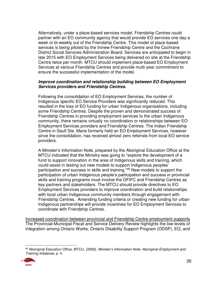Alternatively, under a place-based services model, Friendship Centres could partner with an EO community agency that would provide EO services one day a week or bi-weekly out of the Friendship Centre. This model of place-based services is being piloted by the Ininew Friendship Centre and the Cochrane District Social Services Administration Board. Services are anticipated to begin in late 2015 with EO Employment Services being delivered on site at the Friendship Centre twice per month. MTCU should implement place-based EO Employment Services at various Friendship Centres and provide multi-year commitment to ensure the successful implementation of the model.

#### **Improve coordination and relationship building between EO Employment Services providers and Friendship Centres.**

Following the consolidation of EO Employment Services, the number of Indigenous specific EO Service Providers was significantly reduced. This resulted in the loss of EO funding for urban Indigenous organisations, including some Friendship Centres. Despite the proven and demonstrated success of Friendship Centres in providing employment services to the urban Indigenous community, there remains virtually no coordination or relationships between EO Employment Services providers and Friendship Centres. The Indian Friendship Centre in Sault Ste. Marie formerly held an EO Employment Services, however since the consolidation, has received almost zero referrals from local EO service providers.

A Minister's Information Note, prepared by the Aboriginal Education Office at the MTCU indicated that the Ministry was going to "explore the development of a fund to support innovation in the area of Indigenous skills and training, which could assist in testing out new models to support Indigenous peoples' participation and success in skills and training."<sup>49</sup> New models to support the participation of urban Indigenous people's participation and success in provincial skills and training programs must involve the OFIFC and Friendship Centres as key partners and stakeholders. The MTCU should provide directives to EO Employment Services providers to improve coordination and build relationships with local urban Indigenous community members through engagement with Friendship Centres. Amending funding criteria or creating new funding for urban Indigenous partnerships will provide incentives for EO Employment Services to coordinate with Friendship Centres.

Increased coordination between provincial and Friendship Centre employment supports The Provincial-Municipal Fiscal and Service Delivery Review highlights the low levels of integration among Ontario Works, Ontario Disability Support Program (ODSP), EO, and

 $\overline{a}$ <sup>49</sup> Aboriginal Education Office, MTCU. (2009). *Minister's Information Note: Aboriginal Employment and Training Initiatives*, p. 4.

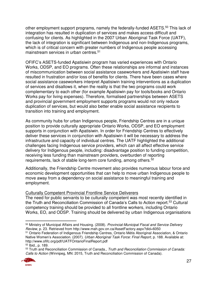other employment support programs, namely the federally-funded ASETS.<sup>50</sup> This lack of integration has resulted in duplication of services and makes access difficult and confusing for clients. As highlighted in the 2007 Urban Aboriginal Task Force (UATF), the lack of integration is significant between Indigenous and non-Indigenous programs, which is of critical concern with greater numbers of Indigenous people accessing mainstream services in urban centres.<sup>51</sup>

OFIFC's ASETS-funded Apatisiwin program has varied experiences with Ontario Works, ODSP, and EO programs. Often these relationships are informal and instances of miscommunication between social assistance caseworkers and Apatisiwin staff have resulted in frustration and/or loss of benefits for clients. There have been cases where social assistance caseworkers interpret Apatisiwin training interventions as a duplication of services and disallows it, when the reality is that the two programs could work complementary to each other (for example Apatisiwin pay for tools/books and Ontario Works pay for living expenses). Therefore, formalised partnerships between ASETS and provincial government employment supports programs would not only reduce duplication of services, but would also better enable social assistance recipients to transition into training and employment.

As community hubs for urban Indigenous people, Friendship Centres are in a unique position to provide culturally appropriate Ontario Works, ODSP, and EO employment supports in conjunction with Apatisiwin. In order for Friendship Centres to effectively deliver these services in conjunction with Apatisiwin it will be necessary to address the infrastructure and capacity of individual centres. The UATF highlighted the additional challenges facing Indigenous service providers, which can all affect effective service delivery for Indigenous people, including: disadvantage position to funding competition, receiving less funding than mainstream providers, overburden of reporting requirements, lack of stable long-term core funding, among others.<sup>52</sup>

Additionally, the Friendship Centre movement also provides numerous labour force and economic development opportunities that can help to move urban Indigenous people to move away from a dependency on social assistance to meaningful training and employment.

#### Culturally Competent Provincial Frontline Service Deliverers

The need for public servants to be culturally competent was most recently identified in the Truth and Reconciliation Commission of Canada's Calls to Action report.<sup>53</sup> Cultural competency training should be provided to all frontline workers, including Ontario Works, EO, and ODSP. Training should be delivered by urban Indigenous organisations

<sup>53</sup> Truth and Reconciliation Commission of Canada., *Truth and Reconciliation Commission of Canada: Calls to Action* (Winnipeg, MN: 2015, Truth and Reconciliation Commission of Canada).



 $\overline{a}$ <sup>50</sup> Ministry of Municipal Affairs and Housing. (2008). *Provincial-Municipal Fiscal and Service Delivery Review*, p. 23. Retrieved from http://www.mah.gov.on.ca/AssetFactory.aspx?did=6050

<sup>51</sup> Ontario Federation of Indigenous Friendship Centres, Ontario Métis Aboriginal Association, & Ontario Native Women's Association. (2007). *Urban Aboriginal Task Force: Final Report*, p. 188. Available at: http://www.ofifc.org/pdf/UATFOntarioFinalReport.pdf

<sup>52</sup> Ibid., p. 189.